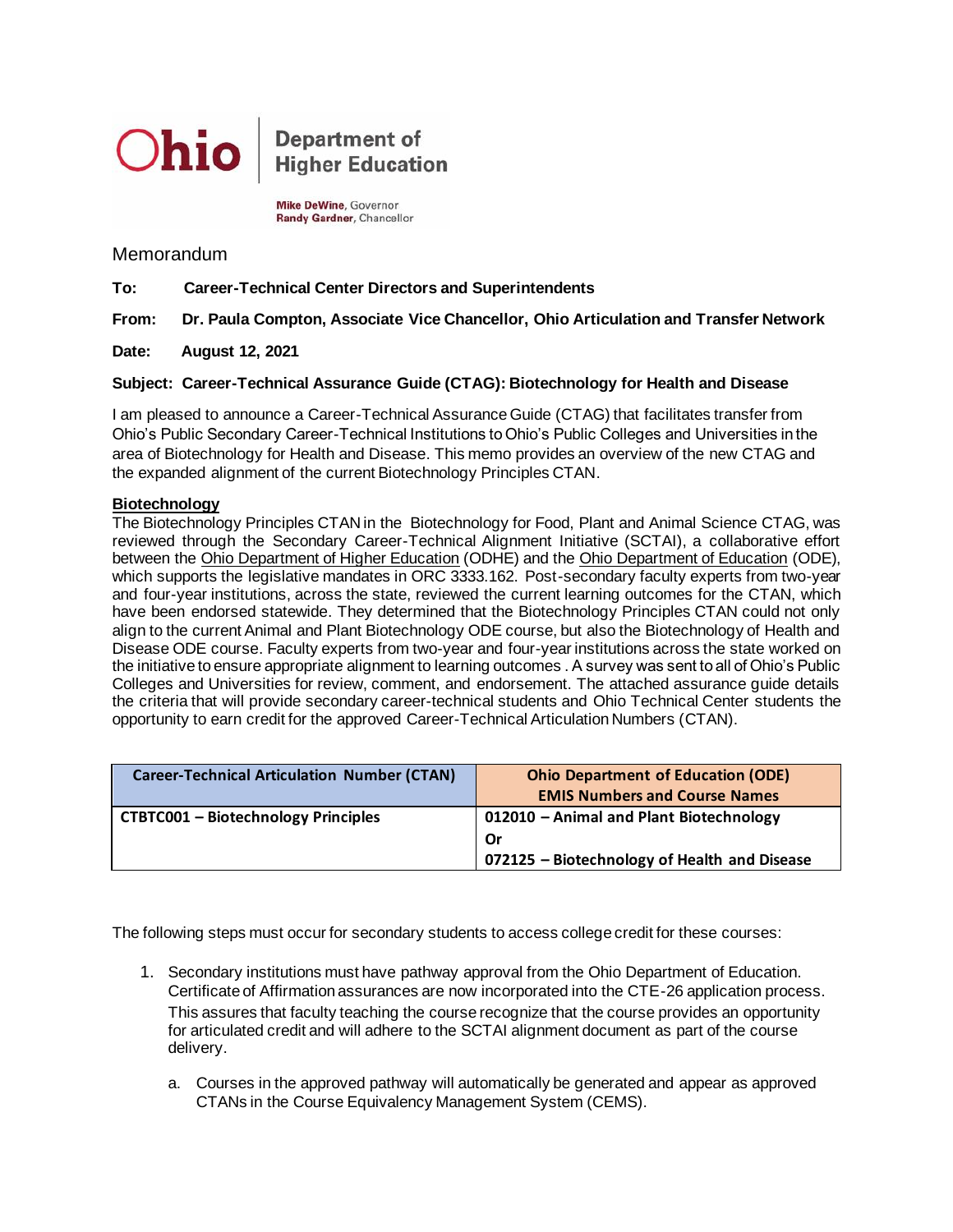

**Department of Higher Education** 

Mike DeWine, Governor Randy Gardner, Chancellor

Memorandum

**To: Career-Technical Center Directors and Superintendents**

**From: Dr. Paula Compton, Associate Vice Chancellor, Ohio Articulation and Transfer Network**

**Date: August 12, 2021**

## **Subject: Career-Technical Assurance Guide (CTAG): Biotechnology for Health and Disease**

I am pleased to announce a Career-Technical Assurance Guide (CTAG) that facilitates transfer from Ohio's Public Secondary Career-Technical Institutions to Ohio's Public Colleges and Universities in the area of Biotechnology for Health and Disease. This memo provides an overview of the new CTAG and the expanded alignment of the current Biotechnology Principles CTAN.

## **Biotechnology**

The Biotechnology Principles CTAN in the Biotechnology for Food, Plant and Animal Science CTAG, was reviewed through the Secondary Career-Technical Alignment Initiative (SCTAI), a collaborative effort between the Ohio Department of Higher Education (ODHE) and the Ohio Department of Education (ODE), which supports the legislative mandates in ORC 3333.162. Post-secondary faculty experts from two-year and four-year institutions, across the state, reviewed the current learning outcomes for the CTAN, which have been endorsed statewide. They determined that the Biotechnology Principles CTAN could not only align to the current Animal and Plant Biotechnology ODE course, but also the Biotechnology of Health and Disease ODE course. Faculty experts from two-year and four-year institutions across the state worked on the initiative to ensure appropriate alignment to learning outcomes . A survey was sent to all of Ohio's Public Colleges and Universities for review, comment, and endorsement. The attached assurance guide details the criteria that will provide secondary career-technical students and Ohio Technical Center students the opportunity to earn credit for the approved Career-Technical Articulation Numbers (CTAN).

| <b>Career-Technical Articulation Number (CTAN)</b> | <b>Ohio Department of Education (ODE)</b><br><b>EMIS Numbers and Course Names</b> |
|----------------------------------------------------|-----------------------------------------------------------------------------------|
| <b>CTBTC001 - Biotechnology Principles</b>         | 012010 - Animal and Plant Biotechnology                                           |
|                                                    | . Or                                                                              |
|                                                    | 072125 - Biotechnology of Health and Disease                                      |

The following steps must occur for secondary students to access college credit for these courses:

- 1. Secondary institutions must have pathway approval from the Ohio Department of Education. Certificate of Affirmation assurances are now incorporated into the CTE-26 application process. This assures that faculty teaching the course recognize that the course provides an opportunity for articulated credit and will adhere to the SCTAI alignment document as part of the course delivery.
	- a. Courses in the approved pathway will automatically be generated and appear as approved CTANs in the Course Equivalency Management System (CEMS).